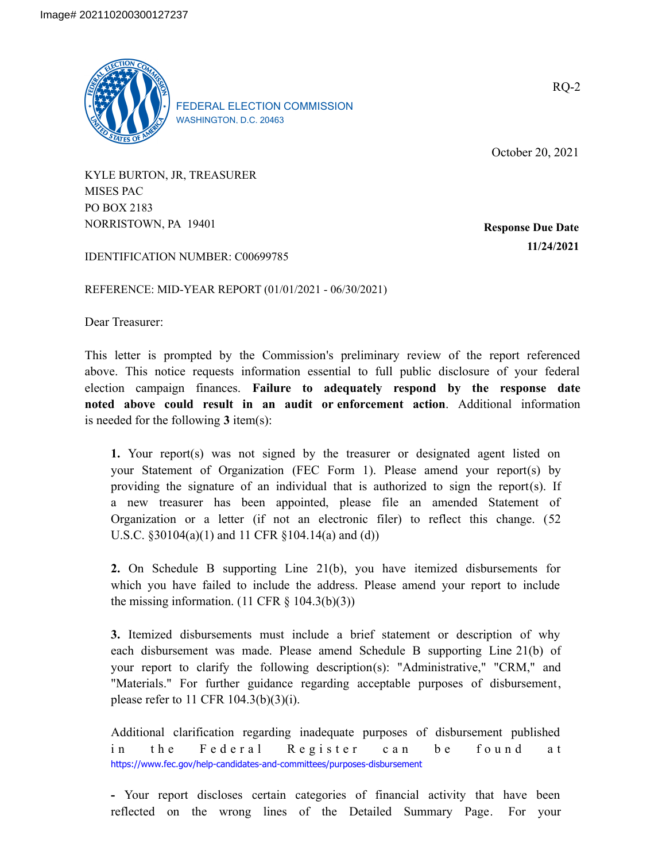

FEDERAL ELECTION COMMISSION WASHINGTON, D.C. 20463

October 20, 2021

KYLE BURTON, JR, TREASURER MISES PAC PO BOX 2183 NORRISTOWN, PA 19401

**Response Due Date 11/24/2021**

IDENTIFICATION NUMBER: C00699785

REFERENCE: MID-YEAR REPORT (01/01/2021 - 06/30/2021)

Dear Treasurer:

This letter is prompted by the Commission's preliminary review of the report referenced above. This notice requests information essential to full public disclosure of your federal election campaign finances. **Failure to adequately respond by the response date noted above could result in an audit or enforcement action**. Additional information is needed for the following **3** item(s):

**1.** Your report(s) was not signed by the treasurer or designated agent listed on your Statement of Organization (FEC Form 1). Please amend your report(s) by providing the signature of an individual that is authorized to sign the report(s). If a new treasurer has been appointed, please file an amended Statement of Organization or a letter (if not an electronic filer) to reflect this change. (52 U.S.C. §30104(a)(1) and 11 CFR §104.14(a) and (d))

**2.** On Schedule B supporting Line 21(b), you have itemized disbursements for which you have failed to include the address. Please amend your report to include the missing information.  $(11 \text{ CFR } \S \ 104.3(b)(3))$ 

**3.** Itemized disbursements must include a brief statement or description of why each disbursement was made. Please amend Schedule B supporting Line 21(b) of your report to clarify the following description(s): "Administrative," "CRM," and "Materials." For further guidance regarding acceptable purposes of disbursement, please refer to 11 CFR 104.3(b)(3)(i).

Additional clarification regarding inadequate purposes of disbursement published in the Federal Register can be found at https://www.fec.gov/help-candidates-and-committees/purposes-disbursement

**-** Your report discloses certain categories of financial activity that have been reflected on the wrong lines of the Detailed Summary Page. For your

RQ-2